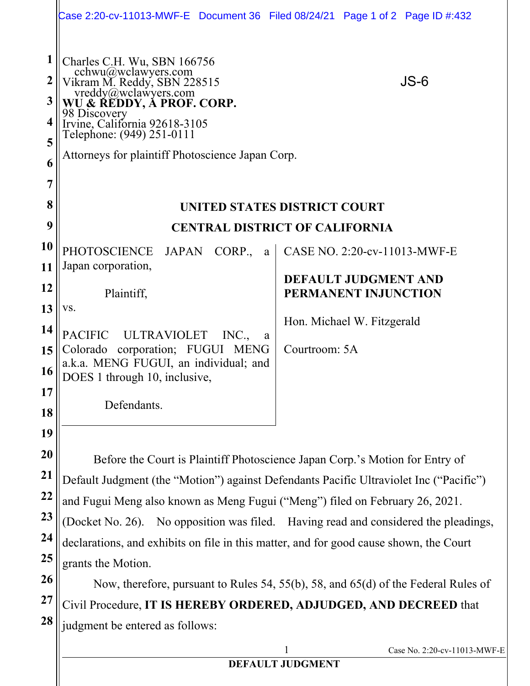|                            | Case 2:20-cv-11013-MWF-E Document 36 Filed 08/24/21 Page 1 of 2 Page ID #:432                                                                                                                                                                                                                                                                                                                                                                                       |                                                       |  |
|----------------------------|---------------------------------------------------------------------------------------------------------------------------------------------------------------------------------------------------------------------------------------------------------------------------------------------------------------------------------------------------------------------------------------------------------------------------------------------------------------------|-------------------------------------------------------|--|
| 1<br>2<br>3<br>4<br>5<br>6 | Charles C.H. Wu, SBN 166756<br>chance of the divelawyers.com<br>Vikram M. Reddy, SBN 228515<br>vreddy@wclawyers.com<br>WU & REDDY, A PROF. CORP.<br>98 Discovery<br>Irvine, California 92618-3105<br>Telephone: (949) 251-0111<br>Attorneys for plaintiff Photoscience Japan Corp.                                                                                                                                                                                  | $JS-6$                                                |  |
| 7<br>8                     |                                                                                                                                                                                                                                                                                                                                                                                                                                                                     |                                                       |  |
| 9                          | UNITED STATES DISTRICT COURT<br><b>CENTRAL DISTRICT OF CALIFORNIA</b>                                                                                                                                                                                                                                                                                                                                                                                               |                                                       |  |
| 10                         | PHOTOSCIENCE<br>JAPAN CORP.,<br>a                                                                                                                                                                                                                                                                                                                                                                                                                                   | CASE NO. 2:20-cv-11013-MWF-E                          |  |
| 11                         | Japan corporation,                                                                                                                                                                                                                                                                                                                                                                                                                                                  | DEFAULT JUDGMENT AND                                  |  |
| 12                         | Plaintiff,                                                                                                                                                                                                                                                                                                                                                                                                                                                          | PERMANENT INJUNCTION                                  |  |
| 13<br>14                   | VS.                                                                                                                                                                                                                                                                                                                                                                                                                                                                 | Hon. Michael W. Fitzgerald                            |  |
| 15                         | <b>PACIFIC</b><br>ULTRAVIOLET<br>INC.,<br>a<br>Colorado corporation; FUGUI MENG<br>a.k.a. MENG FUGUI, an individual; and                                                                                                                                                                                                                                                                                                                                            | Courtroom: 5A                                         |  |
| 16<br><b>17</b>            | DOES 1 through 10, inclusive,                                                                                                                                                                                                                                                                                                                                                                                                                                       |                                                       |  |
| 18                         | Defendants.                                                                                                                                                                                                                                                                                                                                                                                                                                                         |                                                       |  |
| 19                         |                                                                                                                                                                                                                                                                                                                                                                                                                                                                     |                                                       |  |
| 20                         | Before the Court is Plaintiff Photoscience Japan Corp.'s Motion for Entry of                                                                                                                                                                                                                                                                                                                                                                                        |                                                       |  |
| 21                         | Default Judgment (the "Motion") against Defendants Pacific Ultraviolet Inc ("Pacific")<br>and Fugui Meng also known as Meng Fugui ("Meng") filed on February 26, 2021.<br>(Docket No. 26). No opposition was filed. Having read and considered the pleadings,<br>declarations, and exhibits on file in this matter, and for good cause shown, the Court<br>grants the Motion.<br>Now, therefore, pursuant to Rules 54, 55(b), 58, and 65(d) of the Federal Rules of |                                                       |  |
| 22<br>23                   |                                                                                                                                                                                                                                                                                                                                                                                                                                                                     |                                                       |  |
| 24                         |                                                                                                                                                                                                                                                                                                                                                                                                                                                                     |                                                       |  |
| 25                         |                                                                                                                                                                                                                                                                                                                                                                                                                                                                     |                                                       |  |
| 26                         |                                                                                                                                                                                                                                                                                                                                                                                                                                                                     |                                                       |  |
| 27                         | Civil Procedure, IT IS HEREBY ORDERED, ADJUDGED, AND DECREED that                                                                                                                                                                                                                                                                                                                                                                                                   |                                                       |  |
| 28                         | judgment be entered as follows:                                                                                                                                                                                                                                                                                                                                                                                                                                     |                                                       |  |
|                            |                                                                                                                                                                                                                                                                                                                                                                                                                                                                     | 1<br>Case No. 2:20-cv-11013-MWF-E<br>DEFAILT HIDCMENT |  |

## **DEFAULT JUDGMENT**